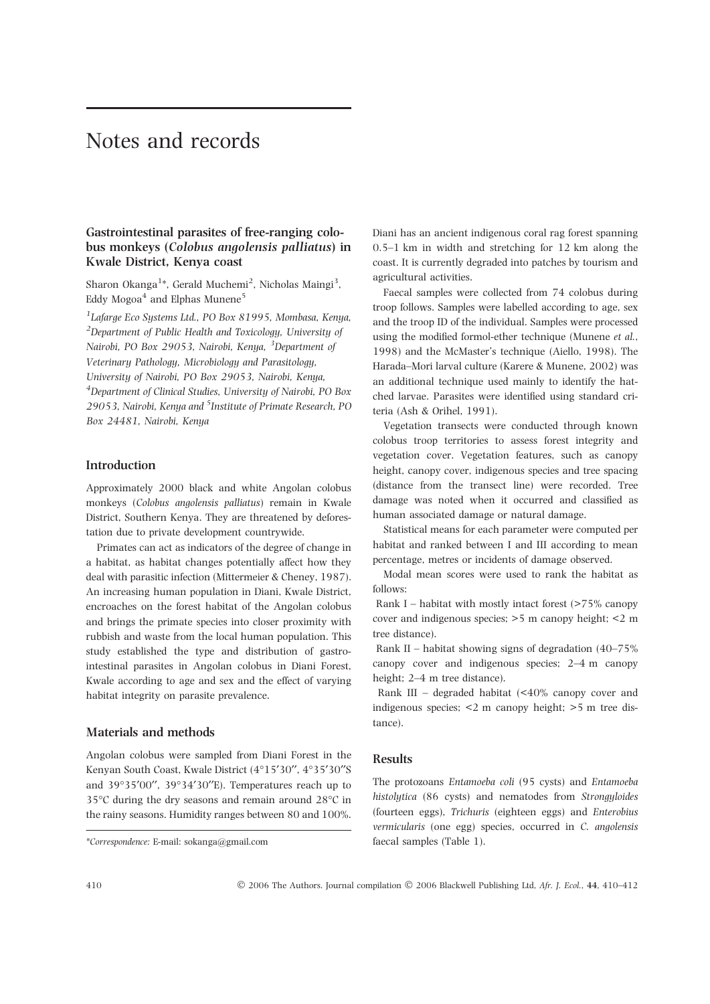# Notes and records

## Gastrointestinal parasites of free-ranging colobus monkeys (Colobus angolensis palliatus) in Kwale District, Kenya coast

Sharon Okanga<sup>1\*</sup>, Gerald Muchemi<sup>2</sup>, Nicholas Maingi<sup>3</sup>, Eddy Mogoa<sup>4</sup> and Elphas Munene<sup>5</sup>

<sup>1</sup>Lafarge Eco Systems Ltd., PO Box 81995, Mombasa, Kenya,  $2$ Department of Public Health and Toxicology, University of Nairobi, PO Box 29053, Nairobi, Kenya, <sup>3</sup>Department of Veterinary Pathology, Microbiology and Parasitology, University of Nairobi, PO Box 29053, Nairobi, Kenya, <sup>4</sup>Department of Clinical Studies, University of Nairobi, PO Box 29053, Nairobi, Kenya and <sup>5</sup>Institute of Primate Research, PO Box 24481, Nairobi, Kenya

## Introduction

Approximately 2000 black and white Angolan colobus monkeys (Colobus angolensis palliatus) remain in Kwale District, Southern Kenya. They are threatened by deforestation due to private development countrywide.

Primates can act as indicators of the degree of change in a habitat, as habitat changes potentially affect how they deal with parasitic infection (Mittermeier & Cheney, 1987). An increasing human population in Diani, Kwale District, encroaches on the forest habitat of the Angolan colobus and brings the primate species into closer proximity with rubbish and waste from the local human population. This study established the type and distribution of gastrointestinal parasites in Angolan colobus in Diani Forest, Kwale according to age and sex and the effect of varying habitat integrity on parasite prevalence.

#### Materials and methods

Angolan colobus were sampled from Diani Forest in the Kenyan South Coast, Kwale District (4°15′30″, 4°35′30″S and 39°35'00", 39°34'30"E). Temperatures reach up to 35℃ during the dry seasons and remain around 28°C in the rainy seasons. Humidity ranges between 80 and 100%.

Diani has an ancient indigenous coral rag forest spanning 0.5–1 km in width and stretching for 12 km along the coast. It is currently degraded into patches by tourism and agricultural activities.

Faecal samples were collected from 74 colobus during troop follows. Samples were labelled according to age, sex and the troop ID of the individual. Samples were processed using the modified formol-ether technique (Munene et al., 1998) and the McMaster's technique (Aiello, 1998). The Harada–Mori larval culture (Karere & Munene, 2002) was an additional technique used mainly to identify the hatched larvae. Parasites were identified using standard criteria (Ash & Orihel, 1991).

Vegetation transects were conducted through known colobus troop territories to assess forest integrity and vegetation cover. Vegetation features, such as canopy height, canopy cover, indigenous species and tree spacing (distance from the transect line) were recorded. Tree damage was noted when it occurred and classified as human associated damage or natural damage.

Statistical means for each parameter were computed per habitat and ranked between I and III according to mean percentage, metres or incidents of damage observed.

Modal mean scores were used to rank the habitat as follows:

Rank I – habitat with mostly intact forest  $($ >75% canopy cover and indigenous species; >5 m canopy height; <2 m tree distance).

Rank II – habitat showing signs of degradation (40–75% canopy cover and indigenous species; 2–4 m canopy height; 2–4 m tree distance).

Rank III – degraded habitat  $\leq 40\%$  canopy cover and indigenous species; <2 m canopy height; >5 m tree distance).

#### Results

The protozoans Entamoeba coli (95 cysts) and Entamoeba histolytica (86 cysts) and nematodes from Strongyloides (fourteen eggs), Trichuris (eighteen eggs) and Enterobius vermicularis (one egg) species, occurred in C. angolensis

410 2006 The Authors. Journal compilation 2006 Blackwell Publishing Ltd, Afr. J. Ecol., 44, 410–412

<sup>\*</sup>Correspondence: E-mail: sokanga@gmail.com faecal samples (Table 1).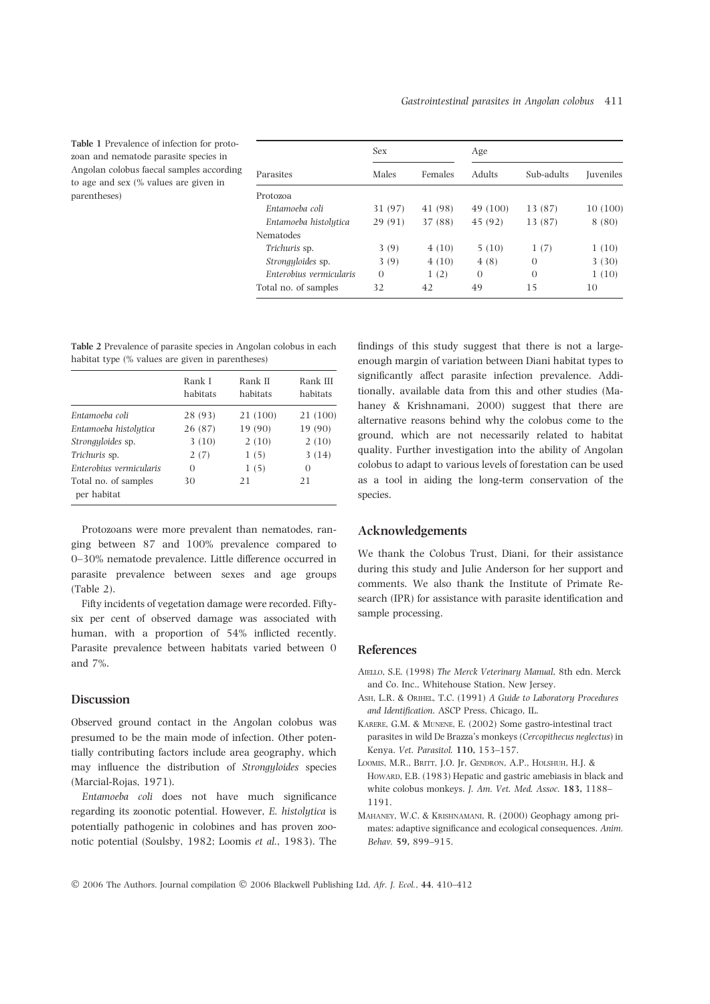Table 1 Prevalence of infection for protozoan and nematode parasite species in Angolan colobus faecal samples according to age and sex (% values are given in parentheses)

| Parasites                | Sex      |         | Age           |            |                   |
|--------------------------|----------|---------|---------------|------------|-------------------|
|                          | Males    | Females | <b>Adults</b> | Sub-adults | <b>I</b> uveniles |
| Protozoa                 |          |         |               |            |                   |
| Entamoeba coli           | 31 (97)  | 41 (98) | 49 (100)      | 13 (87)    | 10(100)           |
| Entamoeba histolutica    | 29 (91)  | 37 (88) | 45 (92)       | 13 (87)    | 8 (80)            |
| Nematodes                |          |         |               |            |                   |
| Trichuris sp.            | 3(9)     | 4(10)   | 5(10)         | 1(7)       | 1(10)             |
| <i>Strongyloides</i> sp. | 3(9)     | 4(10)   | 4(8)          | $\Omega$   | 3(30)             |
| Enterobius vermicularis  | $\Omega$ | 1(2)    | $\Omega$      | $\Omega$   | 1(10)             |
| Total no. of samples     | 32       | 42      | 49            | 15         | 10                |

Table 2 Prevalence of parasite species in Angolan colobus in each habitat type (% values are given in parentheses)

|                                     | Rank I<br>habitats | Rank II<br>habitats | Rank III<br>habitats |
|-------------------------------------|--------------------|---------------------|----------------------|
| Entamoeba coli                      | 28 (93)            | 21 (100)            | 21 (100)             |
| Entamoeba histolutica               | 26 (87)            | 19 (90)             | 19 (90)              |
| Strongyloides sp.                   | 3(10)              | 2(10)               | 2(10)                |
| Trichuris sp.                       | 2(7)               | 1(5)                | 3(14)                |
| Enterobius vermicularis             | $\Omega$           | 1(5)                | $\Omega$             |
| Total no. of samples<br>per habitat | 30                 | 21                  | 21                   |

Protozoans were more prevalent than nematodes, ranging between 87 and 100% prevalence compared to 0–30% nematode prevalence. Little difference occurred in parasite prevalence between sexes and age groups (Table 2).

Fifty incidents of vegetation damage were recorded. Fiftysix per cent of observed damage was associated with human, with a proportion of 54% inflicted recently. Parasite prevalence between habitats varied between 0 and 7%.

### Discussion

Observed ground contact in the Angolan colobus was presumed to be the main mode of infection. Other potentially contributing factors include area geography, which may influence the distribution of Strongyloides species (Marcial-Rojas, 1971).

Entamoeba coli does not have much significance regarding its zoonotic potential. However, E. histolytica is potentially pathogenic in colobines and has proven zoonotic potential (Soulsby, 1982; Loomis et al., 1983). The findings of this study suggest that there is not a largeenough margin of variation between Diani habitat types to significantly affect parasite infection prevalence. Additionally, available data from this and other studies (Mahaney & Krishnamani, 2000) suggest that there are alternative reasons behind why the colobus come to the ground, which are not necessarily related to habitat quality. Further investigation into the ability of Angolan colobus to adapt to various levels of forestation can be used as a tool in aiding the long-term conservation of the species.

#### Acknowledgements

We thank the Colobus Trust, Diani, for their assistance during this study and Julie Anderson for her support and comments. We also thank the Institute of Primate Research (IPR) for assistance with parasite identification and sample processing.

## References

- AIELLO, S.E. (1998) The Merck Veterinary Manual, 8th edn. Merck and Co. Inc., Whitehouse Station, New Jersey.
- Ash, L.R. & Orihel, T.C. (1991) A Guide to Laboratory Procedures and Identification. ASCP Press, Chicago, IL.
- Karere, G.M. & Munene, E. (2002) Some gastro-intestinal tract parasites in wild De Brazza's monkeys (Cercopithecus neglectus) in Kenya. Vet. Parasitol. 110, 153–157.
- LOOMIS, M.R., BRITT, J.O. Jr, GENDRON, A.P., HOLSHUH, H.J. & HOWARD, E.B. (1983) Hepatic and gastric amebiasis in black and white colobus monkeys. J. Am. Vet. Med. Assoc. 183, 1188– 1191.
- Mahaney, W.C. & Krishnamani, R. (2000) Geophagy among primates: adaptive significance and ecological consequences. Anim. Behav. 59, 899–915.

© 2006 The Authors. Journal compilation © 2006 Blackwell Publishing Ltd, Afr. J. Ecol., 44, 410–412